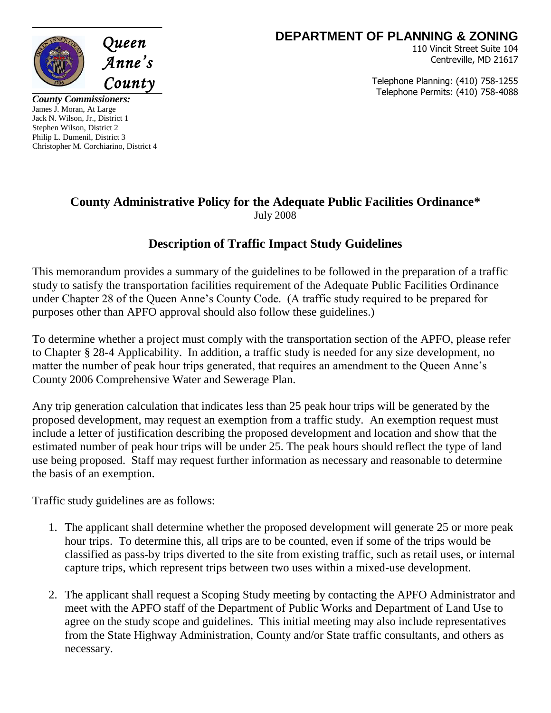

**DEPARTMENT OF PLANNING & ZONING**

110 Vincit Street Suite 104 Centreville, MD 21617

Telephone Planning: (410) 758-1255 Telephone Permits: (410) 758-4088

*County Commissioners:* James J. Moran, At Large Jack N. Wilson, Jr., District 1 Stephen Wilson, District 2 Philip L. Dumenil, District 3 Christopher M. Corchiarino, District 4

## **County Administrative Policy for the Adequate Public Facilities Ordinance\*** July 2008

## **Description of Traffic Impact Study Guidelines**

This memorandum provides a summary of the guidelines to be followed in the preparation of a traffic study to satisfy the transportation facilities requirement of the Adequate Public Facilities Ordinance under Chapter 28 of the Queen Anne's County Code. (A traffic study required to be prepared for purposes other than APFO approval should also follow these guidelines.)

To determine whether a project must comply with the transportation section of the APFO, please refer to Chapter § 28-4 Applicability. In addition, a traffic study is needed for any size development, no matter the number of peak hour trips generated, that requires an amendment to the Queen Anne's County 2006 Comprehensive Water and Sewerage Plan.

Any trip generation calculation that indicates less than 25 peak hour trips will be generated by the proposed development, may request an exemption from a traffic study. An exemption request must include a letter of justification describing the proposed development and location and show that the estimated number of peak hour trips will be under 25. The peak hours should reflect the type of land use being proposed. Staff may request further information as necessary and reasonable to determine the basis of an exemption.

Traffic study guidelines are as follows:

- 1. The applicant shall determine whether the proposed development will generate 25 or more peak hour trips. To determine this, all trips are to be counted, even if some of the trips would be classified as pass-by trips diverted to the site from existing traffic, such as retail uses, or internal capture trips, which represent trips between two uses within a mixed-use development.
- 2. The applicant shall request a Scoping Study meeting by contacting the APFO Administrator and meet with the APFO staff of the Department of Public Works and Department of Land Use to agree on the study scope and guidelines. This initial meeting may also include representatives from the State Highway Administration, County and/or State traffic consultants, and others as necessary.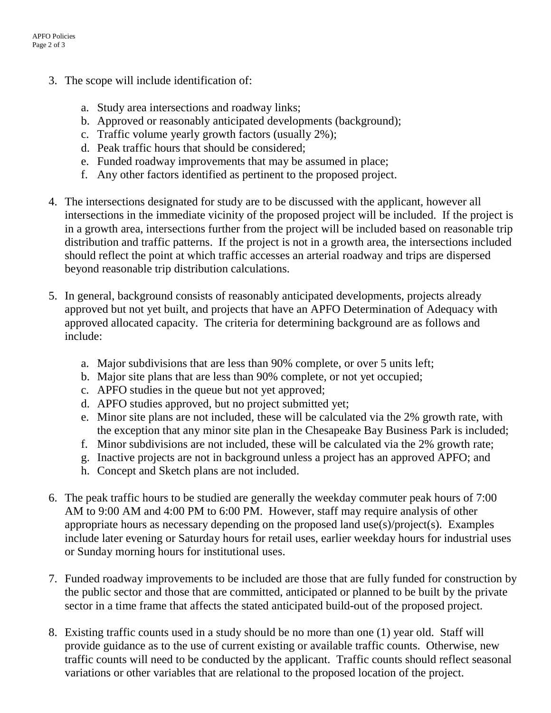- 3. The scope will include identification of:
	- a. Study area intersections and roadway links;
	- b. Approved or reasonably anticipated developments (background);
	- c. Traffic volume yearly growth factors (usually 2%);
	- d. Peak traffic hours that should be considered;
	- e. Funded roadway improvements that may be assumed in place;
	- f. Any other factors identified as pertinent to the proposed project.
- 4. The intersections designated for study are to be discussed with the applicant, however all intersections in the immediate vicinity of the proposed project will be included. If the project is in a growth area, intersections further from the project will be included based on reasonable trip distribution and traffic patterns. If the project is not in a growth area, the intersections included should reflect the point at which traffic accesses an arterial roadway and trips are dispersed beyond reasonable trip distribution calculations.
- 5. In general, background consists of reasonably anticipated developments, projects already approved but not yet built, and projects that have an APFO Determination of Adequacy with approved allocated capacity. The criteria for determining background are as follows and include:
	- a. Major subdivisions that are less than 90% complete, or over 5 units left;
	- b. Major site plans that are less than 90% complete, or not yet occupied;
	- c. APFO studies in the queue but not yet approved;
	- d. APFO studies approved, but no project submitted yet;
	- e. Minor site plans are not included, these will be calculated via the 2% growth rate, with the exception that any minor site plan in the Chesapeake Bay Business Park is included;
	- f. Minor subdivisions are not included, these will be calculated via the 2% growth rate;
	- g. Inactive projects are not in background unless a project has an approved APFO; and
	- h. Concept and Sketch plans are not included.
- 6. The peak traffic hours to be studied are generally the weekday commuter peak hours of 7:00 AM to 9:00 AM and 4:00 PM to 6:00 PM. However, staff may require analysis of other appropriate hours as necessary depending on the proposed land use(s)/project(s). Examples include later evening or Saturday hours for retail uses, earlier weekday hours for industrial uses or Sunday morning hours for institutional uses.
- 7. Funded roadway improvements to be included are those that are fully funded for construction by the public sector and those that are committed, anticipated or planned to be built by the private sector in a time frame that affects the stated anticipated build-out of the proposed project.
- 8. Existing traffic counts used in a study should be no more than one (1) year old. Staff will provide guidance as to the use of current existing or available traffic counts. Otherwise, new traffic counts will need to be conducted by the applicant. Traffic counts should reflect seasonal variations or other variables that are relational to the proposed location of the project.